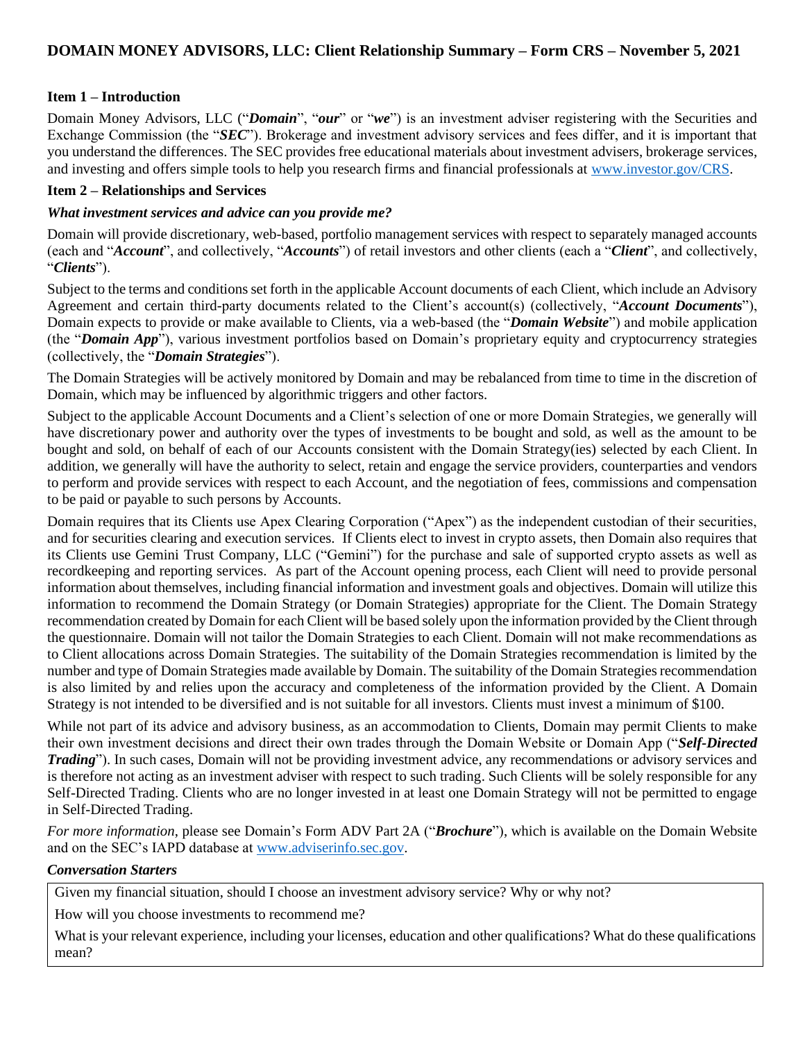# **DOMAIN MONEY ADVISORS, LLC: Client Relationship Summary – Form CRS – November 5, 2021**

# **Item 1 – Introduction**

Domain Money Advisors, LLC ("*Domain*", "*our*" or "*we*") is an investment adviser registering with the Securities and Exchange Commission (the "*SEC*"). Brokerage and investment advisory services and fees differ, and it is important that you understand the differences. The SEC provides free educational materials about investment advisers, brokerage services, and investing and offers simple tools to help you research firms and financial professionals at [www.investor.gov/CRS.](http://www.investor.gov/CRS)

## **Item 2 – Relationships and Services**

#### *What investment services and advice can you provide me?*

Domain will provide discretionary, web-based, portfolio management services with respect to separately managed accounts (each and "*Account*", and collectively, "*Accounts*") of retail investors and other clients (each a "*Client*", and collectively, "*Clients*").

Subject to the terms and conditions set forth in the applicable Account documents of each Client, which include an Advisory Agreement and certain third-party documents related to the Client's account(s) (collectively, "*Account Documents*"), Domain expects to provide or make available to Clients, via a web-based (the "*Domain Website*") and mobile application (the "*Domain App*"), various investment portfolios based on Domain's proprietary equity and cryptocurrency strategies (collectively, the "*Domain Strategies*").

The Domain Strategies will be actively monitored by Domain and may be rebalanced from time to time in the discretion of Domain, which may be influenced by algorithmic triggers and other factors.

Subject to the applicable Account Documents and a Client's selection of one or more Domain Strategies, we generally will have discretionary power and authority over the types of investments to be bought and sold, as well as the amount to be bought and sold, on behalf of each of our Accounts consistent with the Domain Strategy(ies) selected by each Client. In addition, we generally will have the authority to select, retain and engage the service providers, counterparties and vendors to perform and provide services with respect to each Account, and the negotiation of fees, commissions and compensation to be paid or payable to such persons by Accounts.

Domain requires that its Clients use Apex Clearing Corporation ("Apex") as the independent custodian of their securities, and for securities clearing and execution services. If Clients elect to invest in crypto assets, then Domain also requires that its Clients use Gemini Trust Company, LLC ("Gemini") for the purchase and sale of supported crypto assets as well as recordkeeping and reporting services. As part of the Account opening process, each Client will need to provide personal information about themselves, including financial information and investment goals and objectives. Domain will utilize this information to recommend the Domain Strategy (or Domain Strategies) appropriate for the Client. The Domain Strategy recommendation created by Domain for each Client will be based solely upon the information provided by the Client through the questionnaire. Domain will not tailor the Domain Strategies to each Client. Domain will not make recommendations as to Client allocations across Domain Strategies. The suitability of the Domain Strategies recommendation is limited by the number and type of Domain Strategies made available by Domain. The suitability of the Domain Strategies recommendation is also limited by and relies upon the accuracy and completeness of the information provided by the Client. A Domain Strategy is not intended to be diversified and is not suitable for all investors. Clients must invest a minimum of \$100.

While not part of its advice and advisory business, as an accommodation to Clients, Domain may permit Clients to make their own investment decisions and direct their own trades through the Domain Website or Domain App ("*Self-Directed Trading*"). In such cases, Domain will not be providing investment advice, any recommendations or advisory services and is therefore not acting as an investment adviser with respect to such trading. Such Clients will be solely responsible for any Self-Directed Trading. Clients who are no longer invested in at least one Domain Strategy will not be permitted to engage in Self-Directed Trading.

*For more information*, please see Domain's Form ADV Part 2A ("*Brochure*"), which is available on the Domain Website and on the SEC's IAPD database at [www.adviserinfo.sec.gov.](http://www.adviserinfo.sec.gov/)

#### *Conversation Starters*

Given my financial situation, should I choose an investment advisory service? Why or why not?

How will you choose investments to recommend me?

What is your relevant experience, including your licenses, education and other qualifications? What do these qualifications mean?